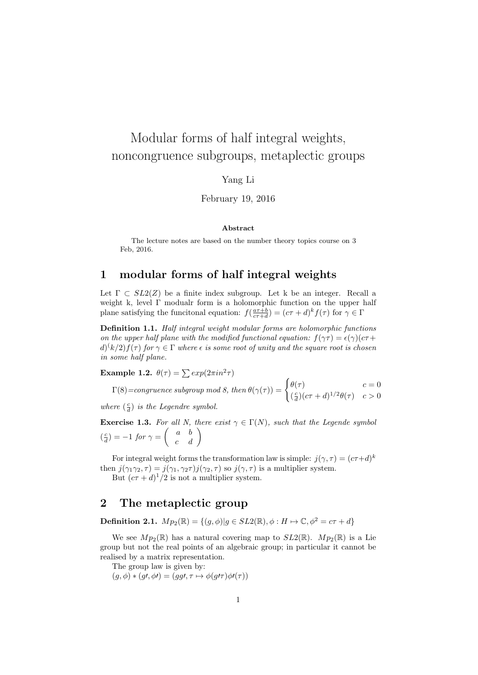# Modular forms of half integral weights, noncongruence subgroups, metaplectic groups

#### Yang Li

February 19, 2016

#### Abstract

The lecture notes are based on the number theory topics course on 3 Feb, 2016.

### 1 modular forms of half integral weights

Let  $\Gamma \subset SL2(Z)$  be a finite index subgroup. Let k be an integer. Recall a weight k, level Γ modualr form is a holomorphic function on the upper half plane satisfying the funcitonal equation:  $f(\frac{a\tau+b}{c\tau+d}) = (c\tau+d)^k f(\tau)$  for  $\gamma \in \Gamma$ 

Definition 1.1. Half integral weight modular forms are holomorphic functions on the upper half plane with the modified functional equation:  $f(\gamma \tau) = \epsilon(\gamma)(c\tau +$  $d(k/2) f(\tau)$  for  $\gamma \in \Gamma$  where  $\epsilon$  is some root of unity and the square root is chosen in some half plane.

Example 1.2.  $\theta(\tau) = \sum exp(2\pi i n^2 \tau)$ 

$$
\Gamma(8) = congruence \ subgroup \ mod \ 8, \ then \ \theta(\gamma(\tau)) = \begin{cases} \theta(\tau) & c = 0 \\ \left(\frac{c}{d}\right)(c\tau + d)^{1/2}\theta(\tau) & c > 0 \end{cases}
$$

where  $(\frac{c}{d})$  is the Legendre symbol.

**Exercise 1.3.** For all N, there exist  $\gamma \in \Gamma(N)$ , such that the Legende symbol  $\left(\frac{c}{d}\right) = -1$  for  $\gamma = \begin{pmatrix} a & b \\ c & d \end{pmatrix}$ 

For integral weight forms the transformation law is simple:  $j(\gamma, \tau) = (c\tau + d)^k$ then  $j(\gamma_1\gamma_2, \tau) = j(\gamma_1, \gamma_2\tau)j(\gamma_2, \tau)$  so  $j(\gamma, \tau)$  is a multiplier system.

But  $(c\tau + d)^{1}/2$  is not a multiplier system.

# 2 The metaplectic group

Definition 2.1.  $Mp_2(\mathbb{R}) = \{(q,\phi) | q \in SL2(\mathbb{R}), \phi : H \mapsto \mathbb{C}, \phi^2 = c\tau + d\}$ 

We see  $Mp_2(\mathbb{R})$  has a natural covering map to  $SL_2(\mathbb{R})$ .  $Mp_2(\mathbb{R})$  is a Lie group but not the real points of an algebraic group; in particular it cannot be realised by a matrix representation.

The group law is given by:

 $(g, \phi) * (g\prime, \phi\prime) = (gg\prime, \tau \mapsto \phi(g\prime\tau)\phi\prime(\tau))$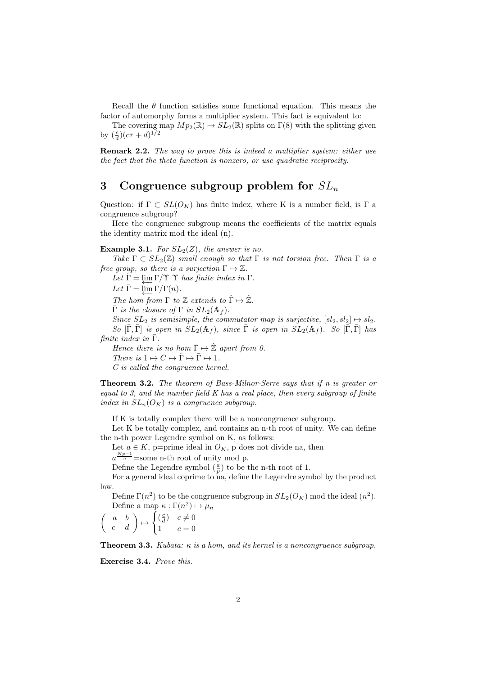Recall the  $\theta$  function satisfies some functional equation. This means the factor of automorphy forms a multiplier system. This fact is equivalent to:

The covering map  $Mp_2(\mathbb{R}) \to SL_2(\mathbb{R})$  splits on  $\Gamma(8)$  with the splitting given by  $(\frac{c}{d})(c\tau + d)^{1/2}$ 

Remark 2.2. The way to prove this is indeed a multiplier system: either use the fact that the theta function is nonzero, or use quadratic reciprocity.

# 3 Congruence subgroup problem for  $SL_n$

Question: if  $\Gamma \subset SL(O_K)$  has finite index, where K is a number field, is  $\Gamma$  a congruence subgroup?

Here the congruence subgroup means the coefficients of the matrix equals the identity matrix mod the ideal (n).

**Example 3.1.** For  $SL_2(Z)$ , the answer is no.

Take  $\Gamma \subset SL_2(\mathbb{Z})$  small enough so that  $\Gamma$  is not torsion free. Then  $\Gamma$  is a free group, so there is a surjection  $\Gamma \mapsto \mathbb{Z}$ .

Let  $\hat{\Gamma} = \lim_{\Sigma} \Gamma / \Upsilon \Upsilon$  has finite index in  $\Gamma$ . Let  $\bar{\Gamma} = \lim_{\longleftarrow} \Gamma/\Gamma(n)$ . The hom from  $\Gamma$  to  $\mathbb Z$  extends to  $\hat{\Gamma} \mapsto \hat{\mathbb Z}$ .  $\overline{\Gamma}$  is the closure of  $\Gamma$  in  $SL_2(\mathbb{A}_f)$ . Since  $SL_2$  is semisimple, the commutator map is surjective,  $[sl_2, sl_2] \mapsto sl_2$ . So  $[\bar{\Gamma}, \bar{\Gamma}]$  is open in  $SL_2(\mathbb{A}_f)$ , since  $\bar{\Gamma}$  is open in  $SL_2(\mathbb{A}_f)$ . So  $[\bar{\Gamma}, \bar{\Gamma}]$  has finite index in  $\overline{\Gamma}$ . Hence there is no hom  $\bar{\Gamma} \mapsto \hat{\mathbb{Z}}$  apart from 0. There is  $1 \mapsto C \mapsto \hat{\Gamma} \mapsto \bar{\Gamma} \mapsto 1$ .

C is called the congruence kernel.

**Theorem 3.2.** The theorem of Bass-Milnor-Serre says that if n is greater or equal to 3, and the number field K has a real place, then every subgroup of finite index in  $SL_n(O_K)$  is a congruence subgroup.

If K is totally complex there will be a noncongruence subgroup.

Let K be totally complex, and contains an n-th root of unity. We can define the n-th power Legendre symbol on K, as follows:

Let  $a \in K$ , p=prime ideal in  $O_K$ , p does not divide na, then

 $a^{\frac{Np-1}{n}}$ =some n-th root of unity mod p.

Define the Legendre symbol  $(\frac{a}{p})$  to be the n-th root of 1.

For a general ideal coprime to na, define the Legendre symbol by the product law.

Define  $\Gamma(n^2)$  to be the congruence subgroup in  $SL_2(O_K)$  mod the ideal  $(n^2)$ . Define a map  $\kappa : \Gamma(n^2) \mapsto \mu_n$ 

$$
\left(\begin{array}{cc} a & b \\ c & d \end{array}\right) \mapsto \begin{cases} \left(\frac{c}{d}\right) & c \neq 0 \\ 1 & c = 0 \end{cases}
$$

**Theorem 3.3.** Kubata:  $\kappa$  is a hom, and its kernel is a noncongruence subgroup.

Exercise 3.4. Prove this.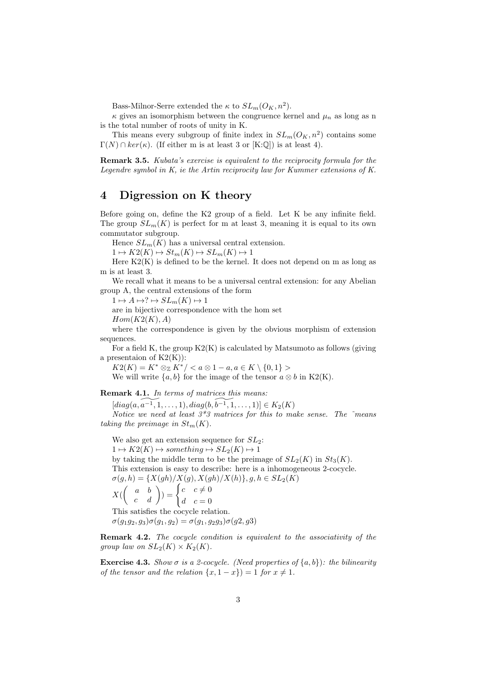Bass-Milnor-Serre extended the  $\kappa$  to  $SL_m(O_K, n^2)$ .

 $\kappa$  gives an isomorphism between the congruence kernel and  $\mu_n$  as long as n is the total number of roots of unity in K.

This means every subgroup of finite index in  $SL_m(O_K, n^2)$  contains some  $\Gamma(N) \cap \ker(\kappa)$ . (If either m is at least 3 or [K:Q]) is at least 4).

Remark 3.5. Kubata's exercise is equivalent to the reciprocity formula for the Legendre symbol in K, ie the Artin reciprocity law for Kummer extensions of K.

### 4 Digression on K theory

Before going on, define the K2 group of a field. Let K be any infinite field. The group  $SL_m(K)$  is perfect for m at least 3, meaning it is equal to its own commutator subgroup.

Hence  $SL_m(K)$  has a universal central extension.

 $1 \mapsto K2(K) \mapsto St_m(K) \mapsto SL_m(K) \mapsto 1$ 

Here  $K2(K)$  is defined to be the kernel. It does not depend on m as long as m is at least 3.

We recall what it means to be a universal central extension: for any Abelian group A, the central extensions of the form

 $1 \mapsto A \mapsto ? \mapsto SL_m(K) \mapsto 1$ 

are in bijective correspondence with the hom set  $Hom(K2(K), A)$ 

where the correspondence is given by the obvious morphism of extension sequences.

For a field K, the group  $K2(K)$  is calculated by Matsumoto as follows (giving a presentaion of  $K2(K)$ :

 $K2(K) = K^* \otimes_{\mathbb{Z}} K^* /$ 

We will write  $\{a, b\}$  for the image of the tensor  $a \otimes b$  in K2(K).

Remark 4.1. In terms of matrices this means:

 $[diag(a, a^{-1}, 1, \ldots, 1), diag(b, b^{-1}, 1, \ldots, 1)] \in K_2(K)$ 

Notice we need at least  $3*3$  matrices for this to make sense. The  $\tilde{\ }$  means taking the preimage in  $St_m(K)$ .

We also get an extension sequence for  $SL_2$ :

 $1 \mapsto K2(K) \mapsto something \mapsto SL_2(K) \mapsto 1$ 

by taking the middle term to be the preimage of  $SL_2(K)$  in  $St_3(K)$ .

This extension is easy to describe: here is a inhomogeneous 2-cocycle.  $\sigma(g,h)=\{X(gh)/X(g),X(gh)/X(h)\}, g,h\in SL_2(K)$ 

 $X({\begin{pmatrix} a & b \ c & d \end{pmatrix}}) = \begin{cases} c & c \neq 0 \\ d & c = 0 \end{cases}$  $d \quad c = 0$ 

This satisfies the cocycle relation.

 $\sigma(g_1g_2, g_3)\sigma(g_1, g_2) = \sigma(g_1, g_2g_3)\sigma(g_2, g_3)$ 

**Remark 4.2.** The cocycle condition is equivalent to the associativity of the group law on  $SL_2(K) \times K_2(K)$ .

**Exercise 4.3.** Show  $\sigma$  is a 2-cocycle. (Need properties of  $\{a, b\}$ ): the bilinearity of the tensor and the relation  $\{x, 1 - x\}$  = 1 for  $x \neq 1$ .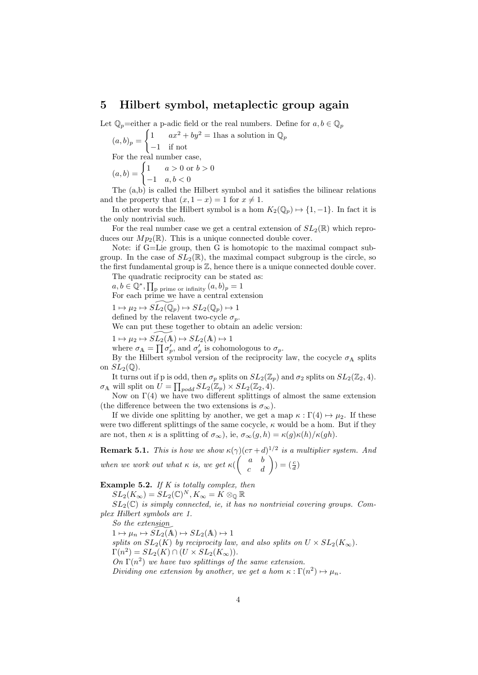#### 5 Hilbert symbol, metaplectic group again

Let  $\mathbb{Q}_p$ =either a p-adic field or the real numbers. Define for  $a, b \in \mathbb{Q}_p$ 

 $(a, b)_p =$  $\int 1$  ax<sup>2</sup> + by<sup>2</sup> = 1 has a solution in  $\mathbb{Q}_p$ −1 if not For the real number case,  $(a, b) = \begin{cases} 1 & a > 0 \text{ or } b > 0 \end{cases}$ 

$$
b, b) = \begin{cases} -1 & a, b < 0 \end{cases}
$$

The  $(a,b)$  is called the Hilbert symbol and it satisfies the bilinear relations and the property that  $(x, 1-x) = 1$  for  $x \neq 1$ .

In other words the Hilbert symbol is a hom  $K_2(\mathbb{Q}_p) \mapsto \{1, -1\}$ . In fact it is the only nontrivial such.

For the real number case we get a central extension of  $SL_2(\mathbb{R})$  which reproduces our  $Mp_2(\mathbb{R})$ . This is a unique connected double cover.

Note: if G=Lie group, then G is homotopic to the maximal compact subgroup. In the case of  $SL_2(\mathbb{R})$ , the maximal compact subgroup is the circle, so the first fundamental group is  $\mathbb{Z}$ , hence there is a unique connected double cover.

The quadratic reciprocity can be stated as:

 $a, b \in \mathbb{Q}^*, \prod_{p \text{ prime or infinity}} (a, b)_p = 1$ 

For each prime we have a central extension

 $1 \mapsto \mu_2 \mapsto SL_2(\mathbb{Q}_p) \mapsto SL_2(\mathbb{Q}_p) \mapsto 1$ 

defined by the relavent two-cycle  $\sigma_p$ .

We can put these together to obtain an adelic version:

 $1 \mapsto \mu_2 \mapsto SL_2(\mathbb{A}) \mapsto SL_2(\mathbb{A}) \mapsto 1$ 

where  $\sigma_{\mathbb{A}} = \prod \sigma'_p$ , and  $\sigma'_p$  is cohomologous to  $\sigma_p$ .

By the Hilbert symbol version of the reciprocity law, the cocycle  $\sigma_A$  splits on  $SL_2(\mathbb{O})$ .

It turns out if p is odd, then  $\sigma_p$  splits on  $SL_2(\mathbb{Z}_p)$  and  $\sigma_2$  splits on  $SL_2(\mathbb{Z}_2, 4)$ .  $\sigma_A$  will split on  $\overline{U} = \prod_{p odd} SL_2(\mathbb{Z}_p) \times SL_2(\mathbb{Z}_2, 4).$ 

Now on  $\Gamma(4)$  we have two different splittings of almost the same extension (the difference between the two extensions is  $\sigma_{\infty}$ ).

If we divide one splitting by another, we get a map  $\kappa : \Gamma(4) \mapsto \mu_2$ . If these were two different splittings of the same cocycle,  $\kappa$  would be a hom. But if they are not, then  $\kappa$  is a splitting of  $\sigma_{\infty}$ ), ie,  $\sigma_{\infty}(g, h) = \kappa(g)\kappa(h)/\kappa(gh)$ .

**Remark 5.1.** This is how we show  $\kappa(\gamma)(c\tau+d)^{1/2}$  is a multiplier system. And when we work out what  $\kappa$  is, we get  $\kappa \begin{pmatrix} a & b \\ c & d \end{pmatrix}$   $) = \begin{pmatrix} \frac{c}{d} \end{pmatrix}$ 

Example 5.2. If  $K$  is totally complex, then

 $\overline{SL_2}(K_\infty)=\overline{SL_2(\mathbb{C})^N}, K_\infty=K\otimes_{\mathbb{Q}}\mathbb{R}$ 

 $SL_2(\mathbb{C})$  is simply connected, ie, it has no nontrivial covering groups. Complex Hilbert symbols are 1.

So the extension  $1 \mapsto \mu_n \mapsto SL_2(\mathbb{A}) \mapsto SL_2(\mathbb{A}) \mapsto 1$ splits on  $SL_2(K)$  by reciprocity law, and also splits on  $U \times SL_2(K_\infty)$ .  $\Gamma(n^2) = SL_2(K) \cap (U \times SL_2(K_{\infty})).$ On  $\Gamma(n^2)$  we have two splittings of the same extension. Dividing one extension by another, we get a hom  $\kappa : \Gamma(n^2) \mapsto \mu_n$ .